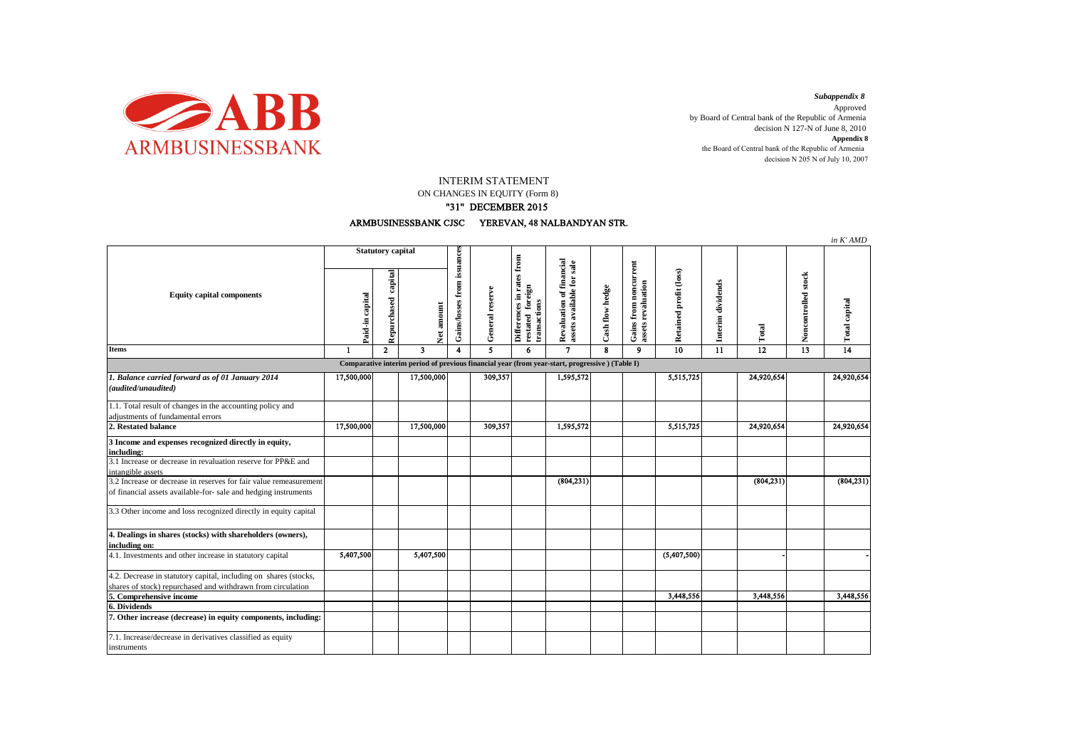

decision N 205 N of July 10, 2007 *Subappendix 8*  Approved by Board of Central bank of the Republic of Armenia decision N 127-N of June 8, 2010 **Appendix 8** the Board of Central bank of the Republic of Armenia

INTERIM STATEMENT

ON CHANGES IN EQUITY (Form 8)

"31" DECEMBER 2015

ARMBUSINESSBANK CJSC YEREVAN, 48 NALBANDYAN STR.

|                                                                                                                                      |                          |                        |                         |                             |                 |                                                                  |                                                             |                 |                                             |                        |                   |                 |                     | in K' AMD       |
|--------------------------------------------------------------------------------------------------------------------------------------|--------------------------|------------------------|-------------------------|-----------------------------|-----------------|------------------------------------------------------------------|-------------------------------------------------------------|-----------------|---------------------------------------------|------------------------|-------------------|-----------------|---------------------|-----------------|
| <b>Equity capital components</b>                                                                                                     | <b>Statutory capital</b> |                        |                         |                             |                 |                                                                  | sale                                                        |                 |                                             |                        |                   |                 |                     |                 |
|                                                                                                                                      | Paid-in capital          | capital<br>Repurchased | Net amount              | Gains/losses from issuances | General reserve | Differences in rates from<br>foreign<br>transactions<br>restated | of financial<br>Revaluation of fina<br>assets available for | Cash flow hedge | Gains from noncurrent<br>assets revaluation | Retained profit (loss) | Interim dividends | Total           | Noncontrolled stock | Total capital   |
| <b>Items</b>                                                                                                                         | 1                        | $\mathbf{2}$           | $\overline{\mathbf{3}}$ | $\overline{\mathbf{4}}$     | 5.              | 6                                                                | $\overline{7}$                                              | 8               | $\boldsymbol{Q}$                            | 10                     | 11                | $\overline{12}$ | $\overline{13}$     | $\overline{14}$ |
| Comparative interim period of previous financial year (from year-start, progressive) (Table I)                                       |                          |                        |                         |                             |                 |                                                                  |                                                             |                 |                                             |                        |                   |                 |                     |                 |
| 1. Balance carried forward as of 01 January 2014<br>(audited/unaudited)                                                              | 17,500,000               |                        | 17,500,000              |                             | 309.357         |                                                                  | 1,595,572                                                   |                 |                                             | 5,515,725              |                   | 24,920,654      |                     | 24,920,654      |
| 1.1. Total result of changes in the accounting policy and<br>adjustments of fundamental errors                                       |                          |                        |                         |                             |                 |                                                                  |                                                             |                 |                                             |                        |                   |                 |                     |                 |
| 2. Restated balance                                                                                                                  | 17,500,000               |                        | 17,500,000              |                             | 309,357         |                                                                  | 1,595,572                                                   |                 |                                             | 5,515,725              |                   | 24,920,654      |                     | 24,920,654      |
| 3 Income and expenses recognized directly in equity,<br>including:                                                                   |                          |                        |                         |                             |                 |                                                                  |                                                             |                 |                                             |                        |                   |                 |                     |                 |
| 3.1 Increase or decrease in revaluation reserve for PP&E and<br>intangible assets                                                    |                          |                        |                         |                             |                 |                                                                  |                                                             |                 |                                             |                        |                   |                 |                     |                 |
| 3.2 Increase or decrease in reserves for fair value remeasurement<br>of financial assets available-for- sale and hedging instruments |                          |                        |                         |                             |                 |                                                                  | (804, 231)                                                  |                 |                                             |                        |                   | (804, 231)      |                     | (804, 231)      |
| 3.3 Other income and loss recognized directly in equity capital                                                                      |                          |                        |                         |                             |                 |                                                                  |                                                             |                 |                                             |                        |                   |                 |                     |                 |
| 4. Dealings in shares (stocks) with shareholders (owners),<br>including on:                                                          |                          |                        |                         |                             |                 |                                                                  |                                                             |                 |                                             |                        |                   |                 |                     |                 |
| 4.1. Investments and other increase in statutory capital                                                                             | 5,407,500                |                        | 5,407,500               |                             |                 |                                                                  |                                                             |                 |                                             | (5,407,500)            |                   |                 |                     |                 |
| 4.2. Decrease in statutory capital, including on shares (stocks,<br>shares of stock) repurchased and withdrawn from circulation      |                          |                        |                         |                             |                 |                                                                  |                                                             |                 |                                             |                        |                   |                 |                     |                 |
| 5. Comprehensive income                                                                                                              |                          |                        |                         |                             |                 |                                                                  |                                                             |                 |                                             | 3,448,556              |                   | 3,448,556       |                     | 3,448,556       |
| 6. Dividends                                                                                                                         |                          |                        |                         |                             |                 |                                                                  |                                                             |                 |                                             |                        |                   |                 |                     |                 |
| 7. Other increase (decrease) in equity components, including:                                                                        |                          |                        |                         |                             |                 |                                                                  |                                                             |                 |                                             |                        |                   |                 |                     |                 |
| 7.1. Increase/decrease in derivatives classified as equity<br>instruments                                                            |                          |                        |                         |                             |                 |                                                                  |                                                             |                 |                                             |                        |                   |                 |                     |                 |